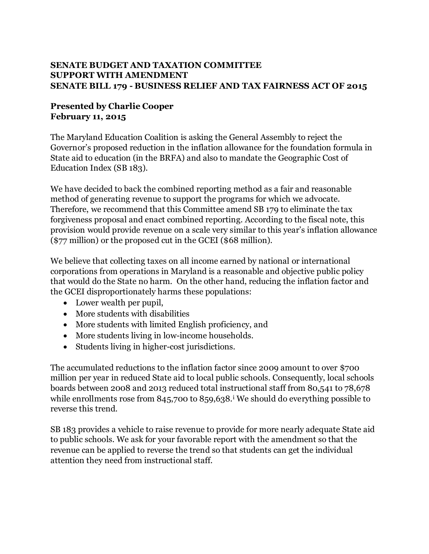## **SENATE BUDGET AND TAXATION COMMITTEE SUPPORT WITH AMENDMENT SENATE BILL 179 - BUSINESS RELIEF AND TAX FAIRNESS ACT OF 2015**

## **Presented by Charlie Cooper February 11, 2015**

The Maryland Education Coalition is asking the General Assembly to reject the Governor's proposed reduction in the inflation allowance for the foundation formula in State aid to education (in the BRFA) and also to mandate the Geographic Cost of Education Index (SB 183).

We have decided to back the combined reporting method as a fair and reasonable method of generating revenue to support the programs for which we advocate. Therefore, we recommend that this Committee amend SB 179 to eliminate the tax forgiveness proposal and enact combined reporting. According to the fiscal note, this provision would provide revenue on a scale very similar to this year's inflation allowance (\$77 million) or the proposed cut in the GCEI (\$68 million).

We believe that collecting taxes on all income earned by national or international corporations from operations in Maryland is a reasonable and objective public policy that would do the State no harm. On the other hand, reducing the inflation factor and the GCEI disproportionately harms these populations:

- Lower wealth per pupil,
- More students with disabilities
- More students with limited English proficiency, and
- More students living in low-income households.
- Students living in higher-cost jurisdictions.

The accumulated reductions to the inflation factor since 2009 amount to over \$700 million per year in reduced State aid to local public schools. Consequently, local schools boards between 2008 and 2013 reduced total instructional staff from 80,541 to 78,678 while enrollments rose from 845,700 to 859,638.<sup>i</sup> We should do everything possible to reverse this trend.

SB 183 provides a vehicle to raise revenue to provide for more nearly adequate State aid to public schools. We ask for your favorable report with the amendment so that the revenue can be applied to reverse the trend so that students can get the individual attention they need from instructional staff.